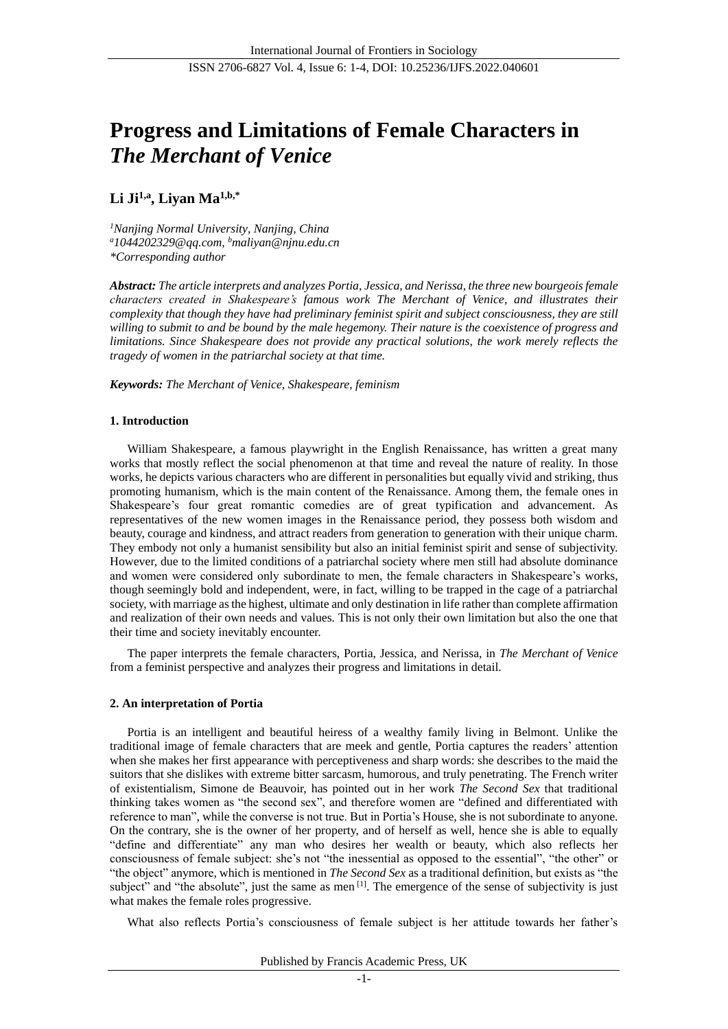# **Progress and Limitations of Female Characters in**  *The Merchant of Venice*

# **Li Ji1,a , Liyan Ma1,b,\***

*<sup>1</sup>Nanjing Normal University, Nanjing, China <sup>a</sup>[1044202329@qq.com,](mailto:1044202329@qq.com) <sup>b</sup>maliyan@njnu.edu.cn \*Corresponding author*

*Abstract: The article interprets and analyzes Portia, Jessica, and Nerissa, the three new bourgeois female characters created in Shakespeare's famous work The Merchant of Venice, and illustrates their complexity that though they have had preliminary feminist spirit and subject consciousness, they are still willing to submit to and be bound by the male hegemony. Their nature is the coexistence of progress and limitations. Since Shakespeare does not provide any practical solutions, the work merely reflects the tragedy of women in the patriarchal society at that time.*

*Keywords: The Merchant of Venice, Shakespeare, feminism*

## **1. Introduction**

William Shakespeare, a famous playwright in the English Renaissance, has written a great many works that mostly reflect the social phenomenon at that time and reveal the nature of reality. In those works, he depicts various characters who are different in personalities but equally vivid and striking, thus promoting humanism, which is the main content of the Renaissance. Among them, the female ones in Shakespeare's four great romantic comedies are of great typification and advancement. As representatives of the new women images in the Renaissance period, they possess both wisdom and beauty, courage and kindness, and attract readers from generation to generation with their unique charm. They embody not only a humanist sensibility but also an initial feminist spirit and sense of subjectivity. However, due to the limited conditions of a patriarchal society where men still had absolute dominance and women were considered only subordinate to men, the female characters in Shakespeare's works, though seemingly bold and independent, were, in fact, willing to be trapped in the cage of a patriarchal society, with marriage as the highest, ultimate and only destination in life rather than complete affirmation and realization of their own needs and values. This is not only their own limitation but also the one that their time and society inevitably encounter.

The paper interprets the female characters, Portia, Jessica, and Nerissa, in *The Merchant of Venice* from a feminist perspective and analyzes their progress and limitations in detail.

### **2. An interpretation of Portia**

Portia is an intelligent and beautiful heiress of a wealthy family living in Belmont. Unlike the traditional image of female characters that are meek and gentle, Portia captures the readers' attention when she makes her first appearance with perceptiveness and sharp words: she describes to the maid the suitors that she dislikes with extreme bitter sarcasm, humorous, and truly penetrating. The French writer of existentialism, Simone de Beauvoir, has pointed out in her work *The Second Sex* that traditional thinking takes women as "the second sex", and therefore women are "defined and differentiated with reference to man", while the converse is not true. But in Portia's House, she is not subordinate to anyone. On the contrary, she is the owner of her property, and of herself as well, hence she is able to equally "define and differentiate" any man who desires her wealth or beauty, which also reflects her consciousness of female subject: she's not "the inessential as opposed to the essential", "the other" or "the object" anymore, which is mentioned in *The Second Sex* as a traditional definition, but exists as "the subject" and "the absolute", just the same as men  $[1]$ . The emergence of the sense of subjectivity is just what makes the female roles progressive.

What also reflects Portia's consciousness of female subject is her attitude towards her father's

Published by Francis Academic Press, UK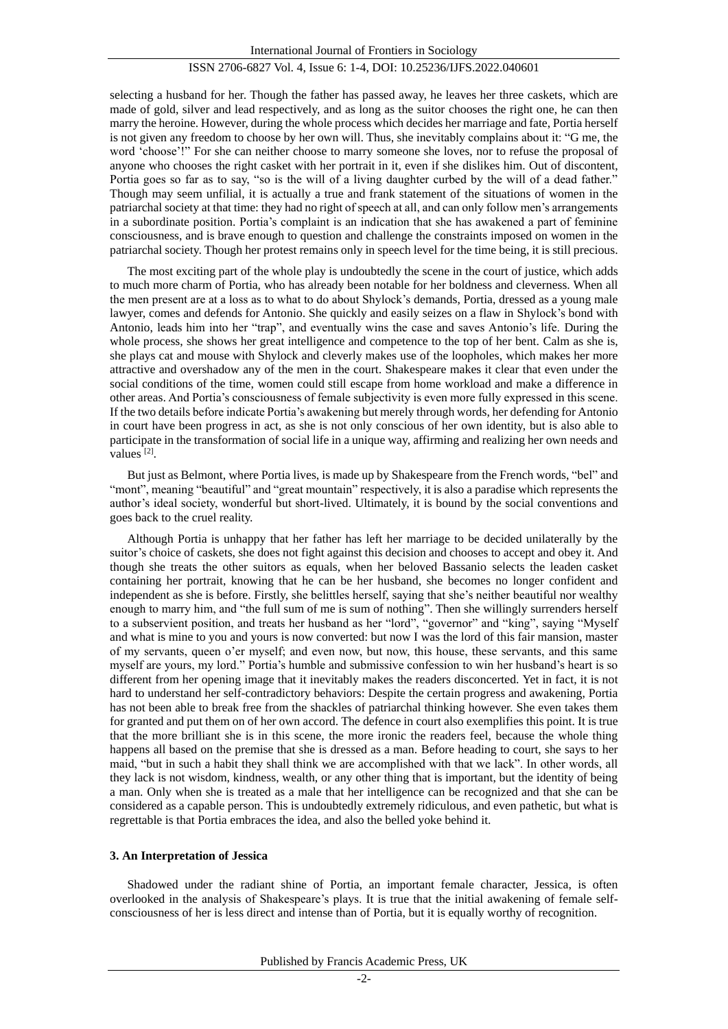#### ISSN 2706-6827 Vol. 4, Issue 6: 1-4, DOI: 10.25236/IJFS.2022.040601

selecting a husband for her. Though the father has passed away, he leaves her three caskets, which are made of gold, silver and lead respectively, and as long as the suitor chooses the right one, he can then marry the heroine. However, during the whole process which decides her marriage and fate, Portia herself is not given any freedom to choose by her own will. Thus, she inevitably complains about it: "G me, the word 'choose'!" For she can neither choose to marry someone she loves, nor to refuse the proposal of anyone who chooses the right casket with her portrait in it, even if she dislikes him. Out of discontent, Portia goes so far as to say, "so is the will of a living daughter curbed by the will of a dead father." Though may seem unfilial, it is actually a true and frank statement of the situations of women in the patriarchal society at that time: they had no right of speech at all, and can only follow men's arrangements in a subordinate position. Portia's complaint is an indication that she has awakened a part of feminine consciousness, and is brave enough to question and challenge the constraints imposed on women in the patriarchal society. Though her protest remains only in speech level for the time being, it is still precious.

The most exciting part of the whole play is undoubtedly the scene in the court of justice, which adds to much more charm of Portia, who has already been notable for her boldness and cleverness. When all the men present are at a loss as to what to do about Shylock's demands, Portia, dressed as a young male lawyer, comes and defends for Antonio. She quickly and easily seizes on a flaw in Shylock's bond with Antonio, leads him into her "trap", and eventually wins the case and saves Antonio's life. During the whole process, she shows her great intelligence and competence to the top of her bent. Calm as she is, she plays cat and mouse with Shylock and cleverly makes use of the loopholes, which makes her more attractive and overshadow any of the men in the court. Shakespeare makes it clear that even under the social conditions of the time, women could still escape from home workload and make a difference in other areas. And Portia's consciousness of female subjectivity is even more fully expressed in this scene. If the two details before indicate Portia's awakening but merely through words, her defending for Antonio in court have been progress in act, as she is not only conscious of her own identity, but is also able to participate in the transformation of social life in a unique way, affirming and realizing her own needs and values<sup>[2]</sup>.

But just as Belmont, where Portia lives, is made up by Shakespeare from the French words, "bel" and "mont", meaning "beautiful" and "great mountain" respectively, it is also a paradise which represents the author's ideal society, wonderful but short-lived. Ultimately, it is bound by the social conventions and goes back to the cruel reality.

Although Portia is unhappy that her father has left her marriage to be decided unilaterally by the suitor's choice of caskets, she does not fight against this decision and chooses to accept and obey it. And though she treats the other suitors as equals, when her beloved Bassanio selects the leaden casket containing her portrait, knowing that he can be her husband, she becomes no longer confident and independent as she is before. Firstly, she belittles herself, saying that she's neither beautiful nor wealthy enough to marry him, and "the full sum of me is sum of nothing". Then she willingly surrenders herself to a subservient position, and treats her husband as her "lord", "governor" and "king", saying "Myself and what is mine to you and yours is now converted: but now I was the lord of this fair mansion, master of my servants, queen o'er myself; and even now, but now, this house, these servants, and this same myself are yours, my lord." Portia's humble and submissive confession to win her husband's heart is so different from her opening image that it inevitably makes the readers disconcerted. Yet in fact, it is not hard to understand her self-contradictory behaviors: Despite the certain progress and awakening, Portia has not been able to break free from the shackles of patriarchal thinking however. She even takes them for granted and put them on of her own accord. The defence in court also exemplifies this point. It is true that the more brilliant she is in this scene, the more ironic the readers feel, because the whole thing happens all based on the premise that she is dressed as a man. Before heading to court, she says to her maid, "but in such a habit they shall think we are accomplished with that we lack". In other words, all they lack is not wisdom, kindness, wealth, or any other thing that is important, but the identity of being a man. Only when she is treated as a male that her intelligence can be recognized and that she can be considered as a capable person. This is undoubtedly extremely ridiculous, and even pathetic, but what is regrettable is that Portia embraces the idea, and also the belled yoke behind it.

#### **3. An Interpretation of Jessica**

Shadowed under the radiant shine of Portia, an important female character, Jessica, is often overlooked in the analysis of Shakespeare's plays. It is true that the initial awakening of female selfconsciousness of her is less direct and intense than of Portia, but it is equally worthy of recognition.

#### Published by Francis Academic Press, UK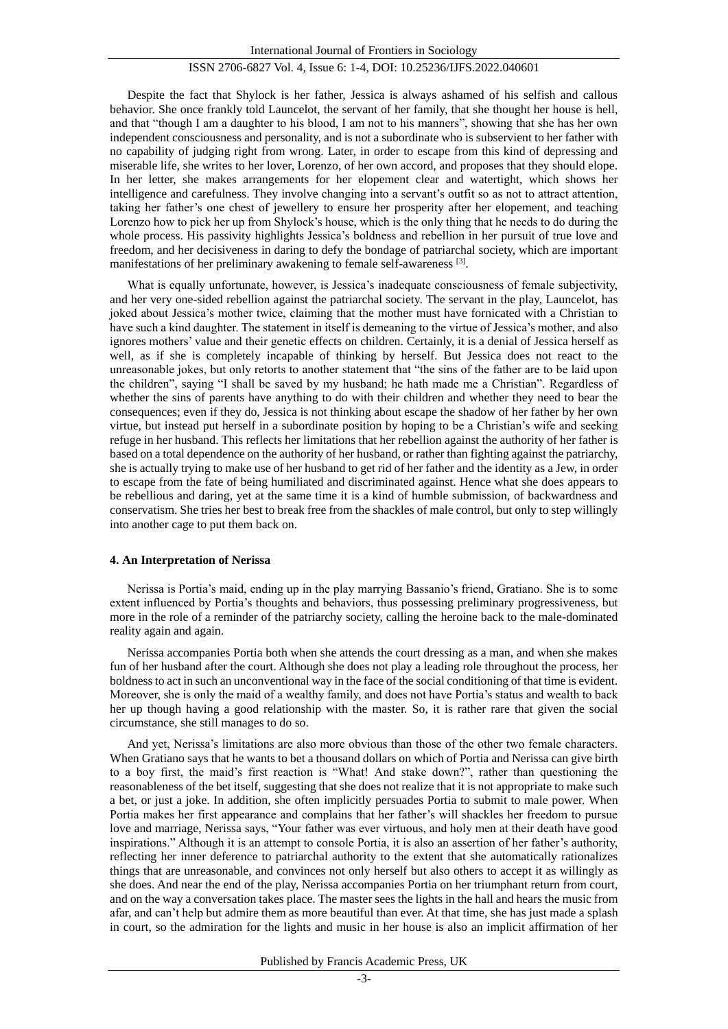#### ISSN 2706-6827 Vol. 4, Issue 6: 1-4, DOI: 10.25236/IJFS.2022.040601

Despite the fact that Shylock is her father, Jessica is always ashamed of his selfish and callous behavior. She once frankly told Launcelot, the servant of her family, that she thought her house is hell, and that "though I am a daughter to his blood, I am not to his manners", showing that she has her own independent consciousness and personality, and is not a subordinate who is subservient to her father with no capability of judging right from wrong. Later, in order to escape from this kind of depressing and miserable life, she writes to her lover, Lorenzo, of her own accord, and proposes that they should elope. In her letter, she makes arrangements for her elopement clear and watertight, which shows her intelligence and carefulness. They involve changing into a servant's outfit so as not to attract attention, taking her father's one chest of jewellery to ensure her prosperity after her elopement, and teaching Lorenzo how to pick her up from Shylock's house, which is the only thing that he needs to do during the whole process. His passivity highlights Jessica's boldness and rebellion in her pursuit of true love and freedom, and her decisiveness in daring to defy the bondage of patriarchal society, which are important manifestations of her preliminary awakening to female self-awareness [3].

What is equally unfortunate, however, is Jessica's inadequate consciousness of female subjectivity, and her very one-sided rebellion against the patriarchal society. The servant in the play, Launcelot, has joked about Jessica's mother twice, claiming that the mother must have fornicated with a Christian to have such a kind daughter. The statement in itself is demeaning to the virtue of Jessica's mother, and also ignores mothers' value and their genetic effects on children. Certainly, it is a denial of Jessica herself as well, as if she is completely incapable of thinking by herself. But Jessica does not react to the unreasonable jokes, but only retorts to another statement that "the sins of the father are to be laid upon the children", saying "I shall be saved by my husband; he hath made me a Christian". Regardless of whether the sins of parents have anything to do with their children and whether they need to bear the consequences; even if they do, Jessica is not thinking about escape the shadow of her father by her own virtue, but instead put herself in a subordinate position by hoping to be a Christian's wife and seeking refuge in her husband. This reflects her limitations that her rebellion against the authority of her father is based on a total dependence on the authority of her husband, or rather than fighting against the patriarchy, she is actually trying to make use of her husband to get rid of her father and the identity as a Jew, in order to escape from the fate of being humiliated and discriminated against. Hence what she does appears to be rebellious and daring, yet at the same time it is a kind of humble submission, of backwardness and conservatism. She tries her best to break free from the shackles of male control, but only to step willingly into another cage to put them back on.

#### **4. An Interpretation of Nerissa**

Nerissa is Portia's maid, ending up in the play marrying Bassanio's friend, Gratiano. She is to some extent influenced by Portia's thoughts and behaviors, thus possessing preliminary progressiveness, but more in the role of a reminder of the patriarchy society, calling the heroine back to the male-dominated reality again and again.

Nerissa accompanies Portia both when she attends the court dressing as a man, and when she makes fun of her husband after the court. Although she does not play a leading role throughout the process, her boldness to act in such an unconventional way in the face of the social conditioning of that time is evident. Moreover, she is only the maid of a wealthy family, and does not have Portia's status and wealth to back her up though having a good relationship with the master. So, it is rather rare that given the social circumstance, she still manages to do so.

And yet, Nerissa's limitations are also more obvious than those of the other two female characters. When Gratiano says that he wants to bet a thousand dollars on which of Portia and Nerissa can give birth to a boy first, the maid's first reaction is "What! And stake down?", rather than questioning the reasonableness of the bet itself, suggesting that she does not realize that it is not appropriate to make such a bet, or just a joke. In addition, she often implicitly persuades Portia to submit to male power. When Portia makes her first appearance and complains that her father's will shackles her freedom to pursue love and marriage, Nerissa says, "Your father was ever virtuous, and holy men at their death have good inspirations." Although it is an attempt to console Portia, it is also an assertion of her father's authority, reflecting her inner deference to patriarchal authority to the extent that she automatically rationalizes things that are unreasonable, and convinces not only herself but also others to accept it as willingly as she does. And near the end of the play, Nerissa accompanies Portia on her triumphant return from court, and on the way a conversation takes place. The master sees the lights in the hall and hears the music from afar, and can't help but admire them as more beautiful than ever. At that time, she has just made a splash in court, so the admiration for the lights and music in her house is also an implicit affirmation of her

Published by Francis Academic Press, UK